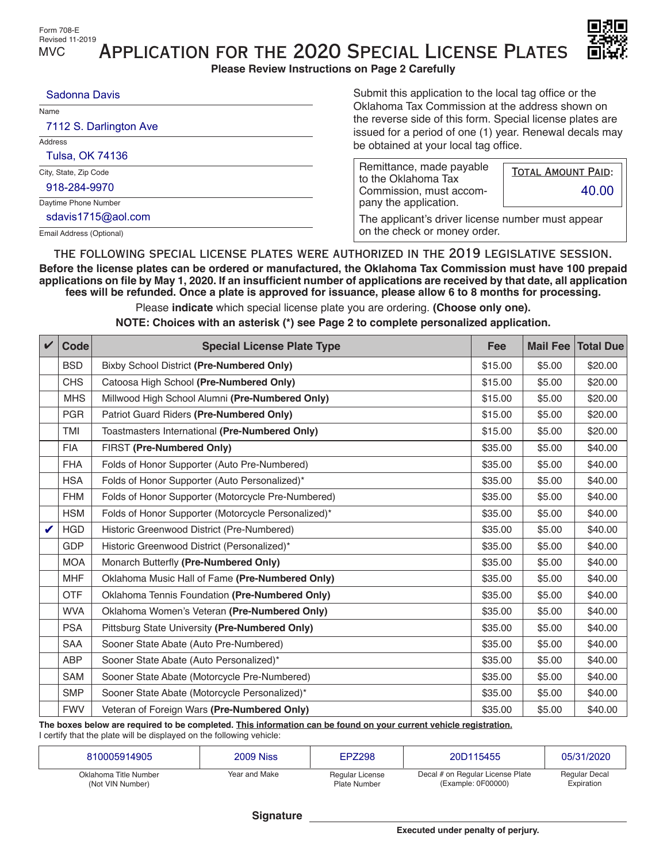

Submit this application to the local tag office or the

Application for the 2020 Special License Plates

**Please Review Instructions on Page 2 Carefully**

| Name                     | Oklahoma Tax Commission at the address shown on<br>the reverse side of this form. Special license plates are |                                                                                                  |  |  |  |
|--------------------------|--------------------------------------------------------------------------------------------------------------|--------------------------------------------------------------------------------------------------|--|--|--|
| Address                  |                                                                                                              | issued for a period of one (1) year. Renewal decals may<br>be obtained at your local tag office. |  |  |  |
| City, State, Zip Code    | Remittance, made payable<br>to the Oklahoma Tax                                                              | <b>TOTAL AMOUNT PAID:</b>                                                                        |  |  |  |
| Daytime Phone Number     | Commission, must accom-<br>pany the application.                                                             | 40.00                                                                                            |  |  |  |
| Email Address (Optional) | on the check or money order.                                                                                 | The applicant's driver license number must appear                                                |  |  |  |

Email Address (Optional)

the following special license plates were authorized in the 2019 legislative session. **Before the license plates can be ordered or manufactured, the Oklahoma Tax Commission must have 100 prepaid applications on file by May 1, 2020. If an insufficient number of applications are received by that date, all application fees will be refunded. Once a plate is approved for issuance, please allow 6 to 8 months for processing.**

Please **indicate** which special license plate you are ordering. **(Choose only one).**

**NOTE: Choices with an asterisk (\*) see Page 2 to complete personalized application.**

| $\boldsymbol{\mathcal{U}}$ | Code       | <b>Special License Plate Type</b>                   | Fee     | <b>Mail Fee</b> | <b>Total Due</b> |
|----------------------------|------------|-----------------------------------------------------|---------|-----------------|------------------|
|                            | <b>BSD</b> | Bixby School District (Pre-Numbered Only)           | \$15.00 | \$5.00          | \$20.00          |
|                            | <b>CHS</b> | Catoosa High School (Pre-Numbered Only)             | \$15.00 | \$5.00          | \$20.00          |
|                            | <b>MHS</b> | Millwood High School Alumni (Pre-Numbered Only)     | \$15.00 | \$5.00          | \$20.00          |
|                            | <b>PGR</b> | Patriot Guard Riders (Pre-Numbered Only)            | \$15.00 | \$5.00          | \$20.00          |
|                            | <b>TMI</b> | Toastmasters International (Pre-Numbered Only)      | \$15.00 | \$5.00          | \$20.00          |
|                            | <b>FIA</b> | FIRST (Pre-Numbered Only)                           | \$35.00 | \$5.00          | \$40.00          |
|                            | <b>FHA</b> | Folds of Honor Supporter (Auto Pre-Numbered)        | \$35.00 | \$5.00          | \$40.00          |
|                            | <b>HSA</b> | Folds of Honor Supporter (Auto Personalized)*       | \$35.00 | \$5.00          | \$40.00          |
|                            | <b>FHM</b> | Folds of Honor Supporter (Motorcycle Pre-Numbered)  | \$35.00 | \$5.00          | \$40.00          |
|                            | <b>HSM</b> | Folds of Honor Supporter (Motorcycle Personalized)* | \$35.00 | \$5.00          | \$40.00          |
|                            | <b>HGD</b> | Historic Greenwood District (Pre-Numbered)          | \$35.00 | \$5.00          | \$40.00          |
|                            | <b>GDP</b> | Historic Greenwood District (Personalized)*         | \$35.00 | \$5.00          | \$40.00          |
|                            | <b>MOA</b> | Monarch Butterfly (Pre-Numbered Only)               | \$35.00 | \$5.00          | \$40.00          |
|                            | <b>MHF</b> | Oklahoma Music Hall of Fame (Pre-Numbered Only)     | \$35.00 | \$5.00          | \$40.00          |
|                            | <b>OTF</b> | Oklahoma Tennis Foundation (Pre-Numbered Only)      | \$35.00 | \$5.00          | \$40.00          |
|                            | <b>WVA</b> | Oklahoma Women's Veteran (Pre-Numbered Only)        | \$35.00 | \$5.00          | \$40.00          |
|                            | <b>PSA</b> | Pittsburg State University (Pre-Numbered Only)      | \$35.00 | \$5.00          | \$40.00          |
|                            | <b>SAA</b> | Sooner State Abate (Auto Pre-Numbered)              | \$35.00 | \$5.00          | \$40.00          |
|                            | <b>ABP</b> | Sooner State Abate (Auto Personalized)*             | \$35.00 | \$5.00          | \$40.00          |
|                            | <b>SAM</b> | Sooner State Abate (Motorcycle Pre-Numbered)        | \$35.00 | \$5.00          | \$40.00          |
|                            | <b>SMP</b> | Sooner State Abate (Motorcycle Personalized)*       | \$35.00 | \$5.00          | \$40.00          |
|                            | <b>FWV</b> | Veteran of Foreign Wars (Pre-Numbered Only)         | \$35.00 | \$5.00          | \$40.00          |

**The boxes below are required to be completed. This information can be found on your current vehicle registration.** I certify that the plate will be displayed on the following vehicle:

| Oklahoma Title Number | Year and Make | Regular License     | Decal # on Regular License Plate | <b>Regular Decal</b> |
|-----------------------|---------------|---------------------|----------------------------------|----------------------|
| (Not VIN Number)      |               | <b>Plate Number</b> | (Example: 0F00000)               | Expiration           |